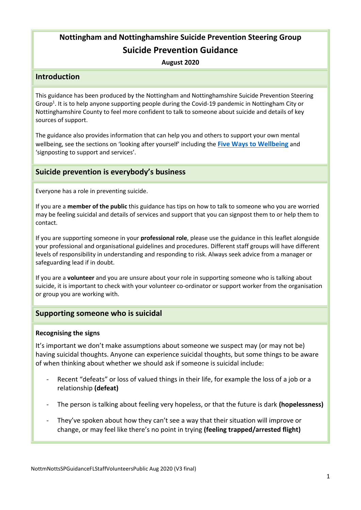# **Nottingham and Nottinghamshire Suicide Prevention Steering Group Suicide Prevention Guidance**

**August 2020**

# **Introduction**

This guidance has been produced by the Nottingham and Nottinghamshire Suicide Prevention Steering Group<sup>1</sup>. It is to help anyone supporting people during the Covid-19 pandemic in Nottingham City or Nottinghamshire County to feel more confident to talk to someone about suicide and details of key sources of support.

The guidance also provides information that can help you and others to support your own mental wellbeing, see the sections on 'looking after yourself' including the **[Five Ways to Wellbeing](https://diverseminds.co.uk/five-ways-to-wellbeing-during-coronavirus/)** and 'signposting to support and services'.

# **Suicide prevention is everybody's business**

Everyone has a role in preventing suicide.

If you are a **member of the public** this guidance has tips on how to talk to someone who you are worried may be feeling suicidal and details of services and support that you can signpost them to or help them to contact.

If you are supporting someone in your **professional role**, please use the guidance in this leaflet alongside your professional and organisational guidelines and procedures. Different staff groups will have different levels of responsibility in understanding and responding to risk. Always seek advice from a manager or safeguarding lead if in doubt.

If you are a **volunteer** and you are unsure about your role in supporting someone who is talking about suicide, it is important to check with your volunteer co-ordinator or support worker from the organisation or group you are working with.

# **Supporting someone who is suicidal**

# **Recognising the signs**

It's important we don't make assumptions about someone we suspect may (or may not be) having suicidal thoughts. Anyone can experience suicidal thoughts, but some things to be aware of when thinking about whether we should ask if someone is suicidal include:

- Recent "defeats" or loss of valued things in their life, for example the loss of a job or a relationship **(defeat)**
- The person is talking about feeling very hopeless, or that the future is dark **(hopelessness)**
- They've spoken about how they can't see a way that their situation will improve or change, or may feel like there's no point in trying **(feeling trapped/arrested flight)**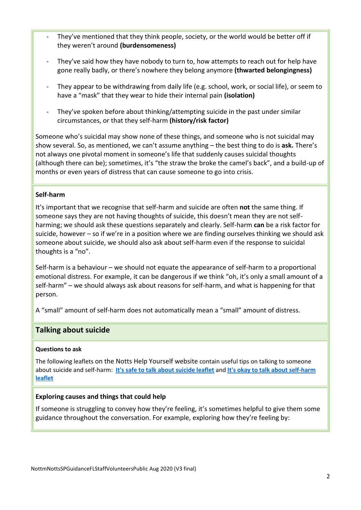- They've mentioned that they think people, society, or the world would be better off if they weren't around **(burdensomeness)**
- They've said how they have nobody to turn to, how attempts to reach out for help have gone really badly, or there's nowhere they belong anymore **(thwarted belongingness)**
- They appear to be withdrawing from daily life (e.g. school, work, or social life), or seem to have a "mask" that they wear to hide their internal pain **(isolation)**
- They've spoken before about thinking/attempting suicide in the past under similar circumstances, or that they self-harm **(history/risk factor)**

Someone who's suicidal may show none of these things, and someone who is not suicidal may show several. So, as mentioned, we can't assume anything – the best thing to do is **ask.** There's not always one pivotal moment in someone's life that suddenly causes suicidal thoughts (although there can be); sometimes, it's "the straw the broke the camel's back", and a build-up of months or even years of distress that can cause someone to go into crisis.

# **Self-harm**

It's important that we recognise that self-harm and suicide are often **not** the same thing. If someone says they are not having thoughts of suicide, this doesn't mean they are not selfharming; we should ask these questions separately and clearly. Self-harm **can** be a risk factor for suicide, however – so if we're in a position where we are finding ourselves thinking we should ask someone about suicide, we should also ask about self-harm even if the response to suicidal thoughts is a "no".

Self-harm is a behaviour – we should not equate the appearance of self-harm to a proportional emotional distress. For example, it can be dangerous if we think "oh, it's only a small amount of a self-harm" – we should always ask about reasons for self-harm, and what is happening for that person.

A "small" amount of self-harm does not automatically mean a "small" amount of distress.

# **Talking about suicide**

# **Questions to ask**

The following leaflets on the Notts Help Yourself website contain useful tips on talking to someone about suicide and self-harm: **[It's safe to talk about suicide leaflet](https://search3.openobjects.com/mediamanager/nottinghamshire/fsd/files/safe_to_talk_leaflet_nottinghamshire_v2_final_1.pdf)** and **[It's okay to talk about self-harm](https://search3.openobjects.com/mediamanager/nottinghamshire/fsd/files/c_users_lkw1_desktop_it_is_okay_to_talk_about_self-harm_-_economy_-_sept_2019_pdf.pdf)  [leaflet](https://search3.openobjects.com/mediamanager/nottinghamshire/fsd/files/c_users_lkw1_desktop_it_is_okay_to_talk_about_self-harm_-_economy_-_sept_2019_pdf.pdf)**

# **Exploring causes and things that could help**

If someone is struggling to convey how they're feeling, it's sometimes helpful to give them some guidance throughout the conversation. For example, exploring how they're feeling by: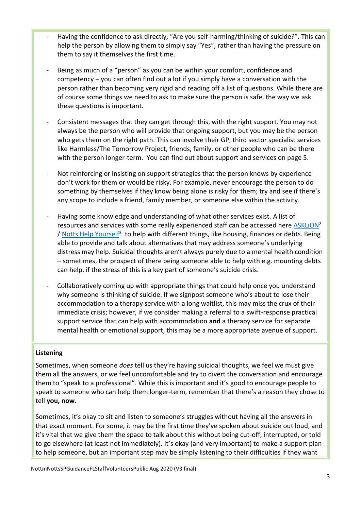- Having the confidence to ask directly, "Are you self-harming/thinking of suicide?". This can help the person by allowing them to simply say "Yes", rather than having the pressure on them to say it themselves the first time.
- Being as much of a "person" as you can be within your comfort, confidence and competency – you can often find out a lot if you simply have a conversation with the person rather than becoming very rigid and reading off a list of questions. While there are of course some things we need to ask to make sure the person is safe, the way we ask these questions is important.
- Consistent messages that they can get through this, with the right support. You may not always be the person who will provide that ongoing support, but you may be the person who gets them on the right path. This can involve their GP, third sector specialist services like Harmless/The Tomorrow Project, friends, family, or other people who can be there with the person longer-term. You can find out about support and services on page 5.
- Not reinforcing or insisting on support strategies that the person knows by experience don't work for them or would be risky. For example, never encourage the person to do something by themselves if they know being alone is risky for them; try and see if there's any scope to include a friend, family member, or someone else within the activity.
- Having some knowledge and understanding of what other services exist. A list of resources and services with some really experienced staff can be accessed here ASKLION<sup>2</sup> / [Notts Help](https://www.nottshelpyourself.org.uk/kb5/nottinghamshire/directory/home.page) Yourself<sup>3</sup> to help with different things, like housing, finances or debts. Being able to provide and talk about alternatives that may address someone's underlying distress may help. Suicidal thoughts aren't always purely due to a mental health condition – sometimes, the prospect of there being someone able to help with e.g. mounting debts can help, if the stress of this is a key part of someone's suicide crisis.
- Collaboratively coming up with appropriate things that could help once you understand why someone is thinking of suicide. If we signpost someone who's about to lose their accommodation to a therapy service with a long waitlist, this may miss the crux of their immediate crisis; however, if we consider making a referral to a swift-response practical support service that can help with accommodation **and** a therapy service for separate mental health or emotional support, this may be a more appropriate avenue of support.

# **Listening**

Sometimes, when someone *does* tell us they're having suicidal thoughts, we feel we must give them all the answers, or we feel uncomfortable and try to divert the conversation and encourage them to "speak to a professional". While this is important and it's good to encourage people to speak to someone who can help them longer-term, remember that there's a reason they chose to tell **you, now.**

Sometimes, it's okay to sit and listen to someone's struggles without having all the answers in that exact moment. For some, it may be the first time they've spoken about suicide out loud, and it's vital that we give them the space to talk about this without being cut-off, interrupted, or told to go elsewhere (at least not immediately). It's okay (and very important) to make a support plan to help someone, but an important step may be simply listening to their difficulties if they want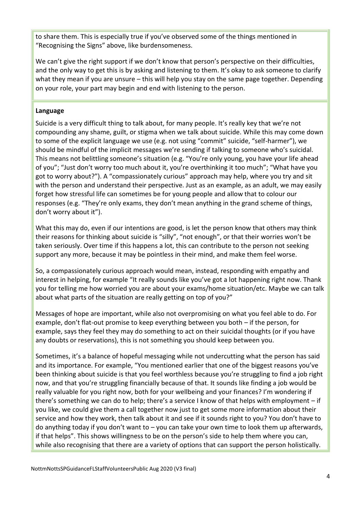to share them. This is especially true if you've observed some of the things mentioned in "Recognising the Signs" above, like burdensomeness.

We can't give the right support if we don't know that person's perspective on their difficulties, and the only way to get this is by asking and listening to them. It's okay to ask someone to clarify what they mean if you are unsure – this will help you stay on the same page together. Depending on your role, your part may begin and end with listening to the person.

# **Language**

Suicide is a very difficult thing to talk about, for many people. It's really key that we're not compounding any shame, guilt, or stigma when we talk about suicide. While this may come down to some of the explicit language we use (e.g. not using "commit" suicide, "self-harmer"), we should be mindful of the implicit messages we're sending if talking to someone who's suicidal. This means not belittling someone's situation (e.g. "You're only young, you have your life ahead of you"; "Just don't worry too much about it, you're overthinking it too much"; "What have you got to worry about?"). A "compassionately curious" approach may help, where you try and sit with the person and understand their perspective. Just as an example, as an adult, we may easily forget how stressful life can sometimes be for young people and allow that to colour our responses (e.g. "They're only exams, they don't mean anything in the grand scheme of things, don't worry about it").

What this may do, even if our intentions are good, is let the person know that others may think their reasons for thinking about suicide is "silly", "not enough", or that their worries won't be taken seriously. Over time if this happens a lot, this can contribute to the person not seeking support any more, because it may be pointless in their mind, and make them feel worse.

So, a compassionately curious approach would mean, instead, responding with empathy and interest in helping, for example "It really sounds like you've got a lot happening right now. Thank you for telling me how worried you are about your exams/home situation/etc. Maybe we can talk about what parts of the situation are really getting on top of you?"

Messages of hope are important, while also not overpromising on what you feel able to do. For example, don't flat-out promise to keep everything between you both – if the person, for example, says they feel they may do something to act on their suicidal thoughts (or if you have any doubts or reservations), this is not something you should keep between you.

Sometimes, it's a balance of hopeful messaging while not undercutting what the person has said and its importance. For example, "You mentioned earlier that one of the biggest reasons you've been thinking about suicide is that you feel worthless because you're struggling to find a job right now, and that you're struggling financially because of that. It sounds like finding a job would be really valuable for you right now, both for your wellbeing and your finances? I'm wondering if there's something we can do to help; there's a service I know of that helps with employment – if you like, we could give them a call together now just to get some more information about their service and how they work, then talk about it and see if it sounds right to you? You don't have to do anything today if you don't want to – you can take your own time to look them up afterwards, if that helps". This shows willingness to be on the person's side to help them where you can, while also recognising that there are a variety of options that can support the person holistically.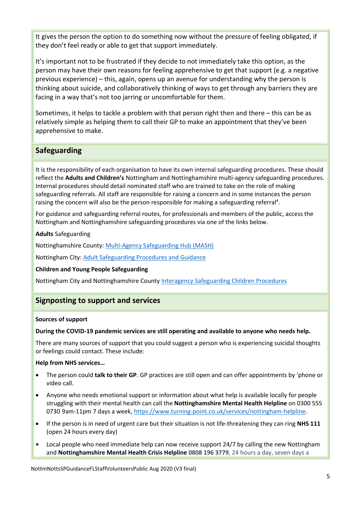It gives the person the option to do something now without the pressure of feeling obligated, if they don't feel ready or able to get that support immediately.

It's important not to be frustrated if they decide to not immediately take this option, as the person may have their own reasons for feeling apprehensive to get that support (e.g. a negative previous experience) – this, again, opens up an avenue for understanding why the person is thinking about suicide, and collaboratively thinking of ways to get through any barriers they are facing in a way that's not too jarring or uncomfortable for them.

Sometimes, it helps to tackle a problem with that person right then and there – this can be as relatively simple as helping them to call their GP to make an appointment that they've been apprehensive to make.

# **Safeguarding**

It is the responsibility of each organisation to have its own internal safeguarding procedures. These should reflect the **Adults and Children's** Nottingham and Nottinghamshire multi-agency safeguarding procedures. Internal procedures should detail nominated staff who are trained to take on the role of making safeguarding referrals. All staff are responsible for raising a concern and in some instances the person raising the concern will also be the person responsible for making a safeguarding referral<sup>4</sup>.

For guidance and safeguarding referral routes, for professionals and members of the public, access the Nottingham and Nottinghamshire safeguarding procedures via one of the links below.

**Adults** Safeguarding

Nottinghamshire County: [Multi-Agency Safeguarding Hub \(MASH\)](https://www.nottinghamshire.gov.uk/care/childrens-social-care/nottinghamshire-children-and-families-alliance/pathway-to-provision/multi-agency-safeguarding-hub-mash)

Nottingham City: [Adult Safeguarding Procedures and Guidance](https://nottinghamcity.gov.uk/information-for-residents/children-and-families/safeguarding-adults/adult-safeguarding-procedures-and-guidance/)

# **Children and Young People Safeguarding**

Nottingham City and Nottinghamshire County [Interagency Safeguarding Children Procedures](https://nottinghamshirescb.proceduresonline.com/contents.html#core)

# **Signposting to support and services**

#### **Sources of support**

#### **During the COVID-19 pandemic services are still operating and available to anyone who needs help.**

There are many sources of support that you could suggest a person who is experiencing suicidal thoughts or feelings could contact. These include:

# **Help from NHS services…**

- The person could **talk to their GP**. GP practices are still open and can offer appointments by 'phone or video call.
- Anyone who needs emotional support or information about what help is available locally for people struggling with their mental health can call the **Nottinghamshire Mental Health Helpline** on 0300 555 0730 9am-11pm 7 days a week, [https://www.turning-point.co.uk/services/nottingham-helpline.](https://www.turning-point.co.uk/services/nottingham-helpline)
- If the person is in need of urgent care but their situation is not life-threatening they can ring **NHS 111** (open 24 hours every day)
- Local people who need immediate help can now receive support 24/7 by calling the new Nottingham and **Nottinghamshire Mental Health Crisis Helpline 0808 196 3779**, 24 hours a day, seven days a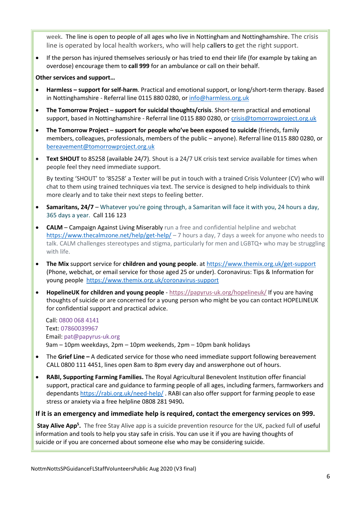week. The line is open to people of all ages who live in Nottingham and Nottinghamshire. The crisis line is operated by local health workers, who will help callers to get the right support.

• If the person has injured themselves seriously or has tried to end their life (for example by taking an overdose) encourage them to **call 999** for an ambulance or call on their behalf.

### **Other services and support…**

- **Harmless – support for self-harm**. Practical and emotional support, or long/short-term therapy. Based in Nottinghamshire - Referral line 0115 880 0280, or [info@harmless.org.uk](mailto:info@harmless.org.uk)
- **The Tomorrow Project support for suicidal thoughts/crisis**. Short-term practical and emotional support, based in Nottinghamshire - Referral line 0115 880 0280, or [crisis@tomorrowproject.org.uk](mailto:crisis@tomorrowproject.org.uk)
- **The Tomorrow Project support for people who've been exposed to suicide** (friends, family members, colleagues, professionals, members of the public – anyone). Referral line 0115 880 0280, or [bereavement@tomorrowproject.org.uk](mailto:bereavement@tomorrowproject.org.uk)
- **Text SHOUT** to 85258 (available 24/7). Shout is a 24/7 UK crisis text service available for times when people feel they need immediate support.

By texting 'SHOUT' to '85258' a Texter will be put in touch with a trained Crisis Volunteer (CV) who will chat to them using trained techniques via text. The service is designed to help individuals to think more clearly and to take their next steps to feeling better.

- **Samaritans, 24/7** Whatever you're going through, a Samaritan will face it with you, 24 hours a day, 365 days a year. Call 116 123
- **CALM**  Campaign Against Living Miserably run a free and confidential helpline and webchat <https://www.thecalmzone.net/help/get-help/> – 7 hours a day, 7 days a week for anyone who needs to talk. CALM challenges stereotypes and stigma, particularly for men and LGBTQ+ who may be struggling with life.
- **The Mix** support service for **children and young people**. at<https://www.themix.org.uk/get-support> (Phone, webchat, or email service for those aged 25 or under). Coronavirus: Tips & Information for young people<https://www.themix.org.uk/coronavirus-support>
- **HopelineUK for children and young people** <https://papyrus-uk.org/hopelineuk/> If you are having thoughts of suicide or are concerned for a young person who might be you can contact HOPELINEUK for confidential support and practical advice.

Call: [0800 068 4141](tel:08000684141) Text: [07860039967](sms:07860039967) Email: [pat@papyrus-uk.org](mailto:pat@papyrus-uk.org) 9am – 10pm weekdays, 2pm – 10pm weekends, 2pm – 10pm bank holidays

- The **Grief Line –** A dedicated service for those who need immediate support following bereavement CALL 0800 111 4451, lines open 8am to 8pm every day and answerphone out of hours.
- **RABI, Supporting Farming Families.** The Royal Agricultural Benevolent Institution offer financial support, practical care and guidance to farming people of all ages, including farmers, farmworkers and dependants <https://rabi.org.uk/need-help/> . RABI can also offer support for farming people to ease stress or anxiety via a free helpline 0808 281 9490**.**

# **If it is an emergency and immediate help is required, contact the emergency services on 999.**

**Stay Alive App<sup>5</sup> .** The free Stay Alive app is a suicide prevention resource for the UK, packed full of useful information and tools to help you stay safe in crisis. You can use it if you are having thoughts of suicide or if you are concerned about someone else who may be considering suicide.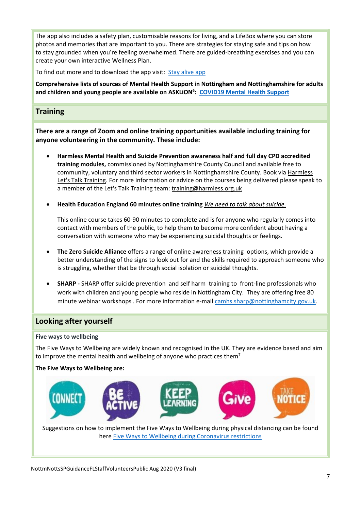The app also includes a safety plan, customisable reasons for living, and a LifeBox where you can store photos and memories that are important to you. There are strategies for staying safe and tips on how to stay grounded when you're feeling overwhelmed. There are guided-breathing exercises and you can create your own interactive Wellness Plan.

To find out more and to download the app visit: [Stay alive app](https://www.asklion.co.uk/kb5/nottingham/directory/service.page?id=EVisZJi1FEE)

**Comprehensive lists of sources of Mental Health Support in Nottingham and Nottinghamshire for adults and children and young people are available on ASKLiON<sup>6</sup> : [COVID19 Mental Health Support](https://www.asklion.co.uk/kb5/nottingham/directory/advice.page?id=fvGQCJXp_WY)**

# **Training**

**There are a range of Zoom and online training opportunities available including training for anyone volunteering in the community. These include:**

- **Harmless Mental Health and Suicide Prevention awareness half and full day CPD accredited training modules,** commissioned by Nottinghamshire County Council and available free to community, voluntary and third sector workers in Nottinghamshire County. Book vi[a Harmless](https://www.eventbrite.co.uk/o/harmless-lets-talk-training-14795237737)  [Let's Talk Training.](https://www.eventbrite.co.uk/o/harmless-lets-talk-training-14795237737) For more information or advice on the courses being delivered please speak to a member of the Let's Talk Training team: [training@harmless.org.uk](mailto:training@harmless.org.uk)
- **Health Education England 60 minutes online training** *[We need to talk about suicide.](http://www.nwyhelearning.nhs.uk/elearning/HEE/SuicidePrevention/)*

This online course takes 60-90 minutes to complete and is for anyone who regularly comes into contact with members of the public, to help them to become more confident about having a conversation with someone who may be experiencing suicidal thoughts or feelings.

- **The Zero Suicide Alliance** offers a range of [online awareness training](https://www.zerosuicidealliance.com/training) options, which provide a better understanding of the signs to look out for and the skills required to approach someone who is struggling, whether that be through social isolation or suicidal thoughts.
- **SHARP -** SHARP offer suicide prevention and self harm training to front-line professionals who work with children and young people who reside in Nottingham City. They are offering free 80 minute webinar workshops . For more information e-mail [camhs.sharp@nottinghamcity.gov.uk.](mailto:camhs.sharp@nottinghamcity.gov.uk)

# **Looking after yourself**

#### **Five ways to wellbeing**

The Five Ways to Wellbeing are widely known and recognised in the UK. They are evidence based and aim to improve the mental health and wellbeing of anyone who practices them<sup>7</sup>

# **The Five Ways to Wellbeing are:**



Suggestions on how to implement the Five Ways to Wellbeing during physical distancing can be found here [Five Ways to Wellbeing during Coronavirus restrictions](https://diverseminds.co.uk/five-ways-to-wellbeing-during-coronavirus/)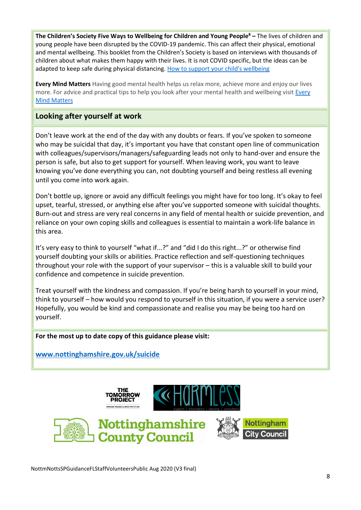**The Children's Society Five Ways to Wellbeing for Children and Young People<sup>8</sup> –** The lives of children and young people have been disrupted by the COVID-19 pandemic. This can affect their physical, emotional and mental wellbeing. This booklet from the Children's Society is based on interviews with thousands of children about what makes them happy with their lives. It is not COVID specific, but the ideas can be adapted to keep safe during physical distancing[. How to support your child's wellbeing](https://www.childrenssociety.org.uk/sites/default/files/TCS_FIVE_WAYS_TO_WELLBEING_CHILDREN.pdf)

**Every Mind Matters** Having good mental health helps us relax more, achieve more and enjoy our lives more. For advice and practical tips to help you look after your mental health and wellbeing visit Every [Mind Matters](https://www.nhs.uk/oneyou/every-mind-matters/)

# **Looking after yourself at work**

Don't leave work at the end of the day with any doubts or fears. If you've spoken to someone who may be suicidal that day, it's important you have that constant open line of communication with colleagues/supervisors/managers/safeguarding leads not only to hand-over and ensure the person is safe, but also to get support for yourself. When leaving work, you want to leave knowing you've done everything you can, not doubting yourself and being restless all evening until you come into work again.

Don't bottle up, ignore or avoid any difficult feelings you might have for too long. It's okay to feel upset, tearful, stressed, or anything else after you've supported someone with suicidal thoughts. Burn-out and stress are very real concerns in any field of mental health or suicide prevention, and reliance on your own coping skills and colleagues is essential to maintain a work-life balance in this area.

It's very easy to think to yourself "what if...?" and "did I do this right...?" or otherwise find yourself doubting your skills or abilities. Practice reflection and self-questioning techniques throughout your role with the support of your supervisor – this is a valuable skill to build your confidence and competence in suicide prevention.

Treat yourself with the kindness and compassion. If you're being harsh to yourself in your mind, think to yourself – how would you respond to yourself in this situation, if you were a service user? Hopefully, you would be kind and compassionate and realise you may be being too hard on yourself.

# **For the most up to date copy of this guidance please visit:**

**[www.nottinghamshire.gov.uk/suicide](http://www.nottinghamshire.gov.uk/suicide)**